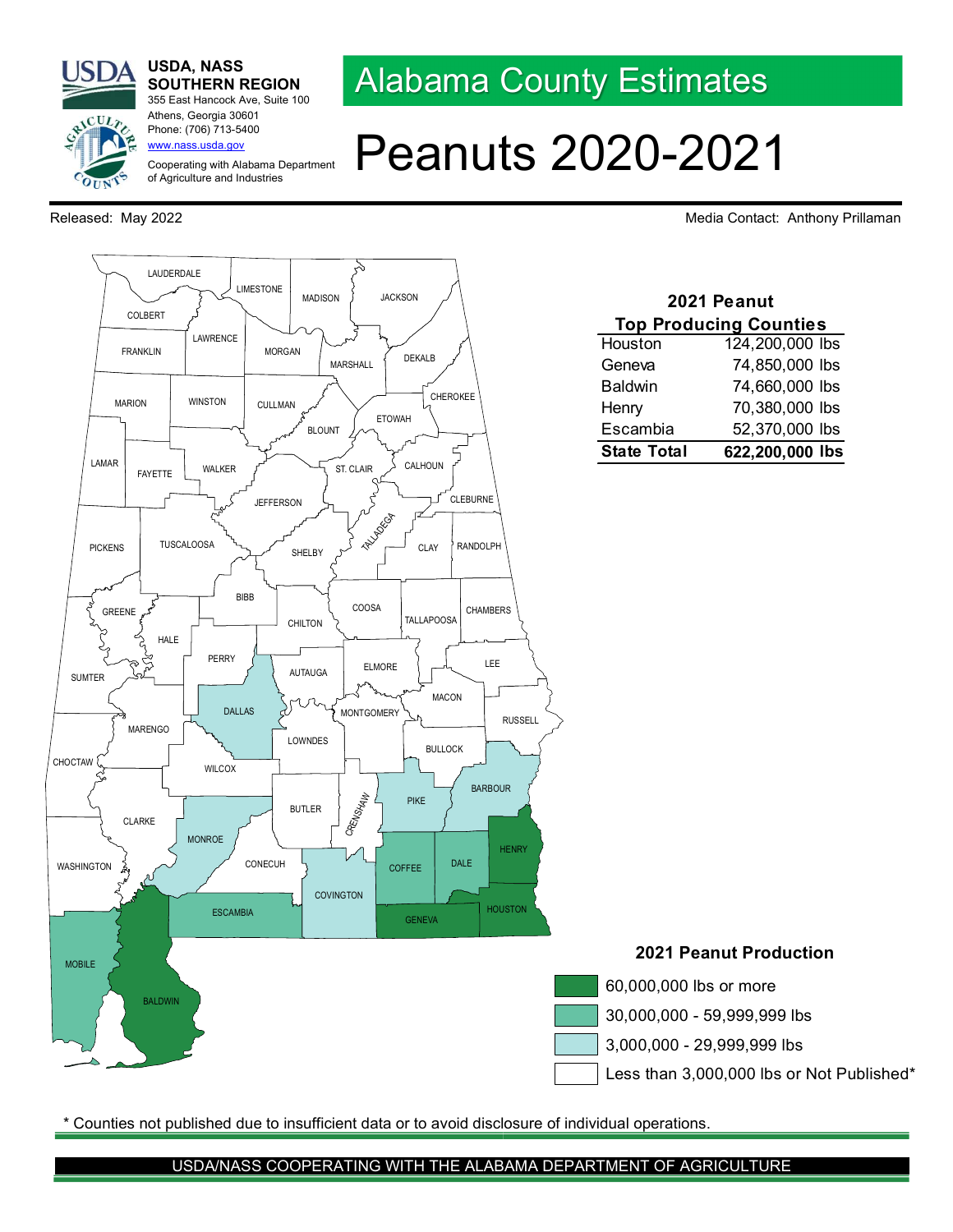alcutr

## USDA, NASS SOUTHERN REGION 355 East Hancock Ave, Suite 100

Cooperating with Alabama Department of Agriculture and Industries

Athens, Georgia 30601 Phone: (706) 713-5400 www.nass.usda.gov

Alabama County Estimates

## Peanuts 2020-2021

Released: May 2022 **May 2022** Media Contact: Anthony Prillaman



Counties not published due to insufficient data or to avoid disclosure of individual operations.